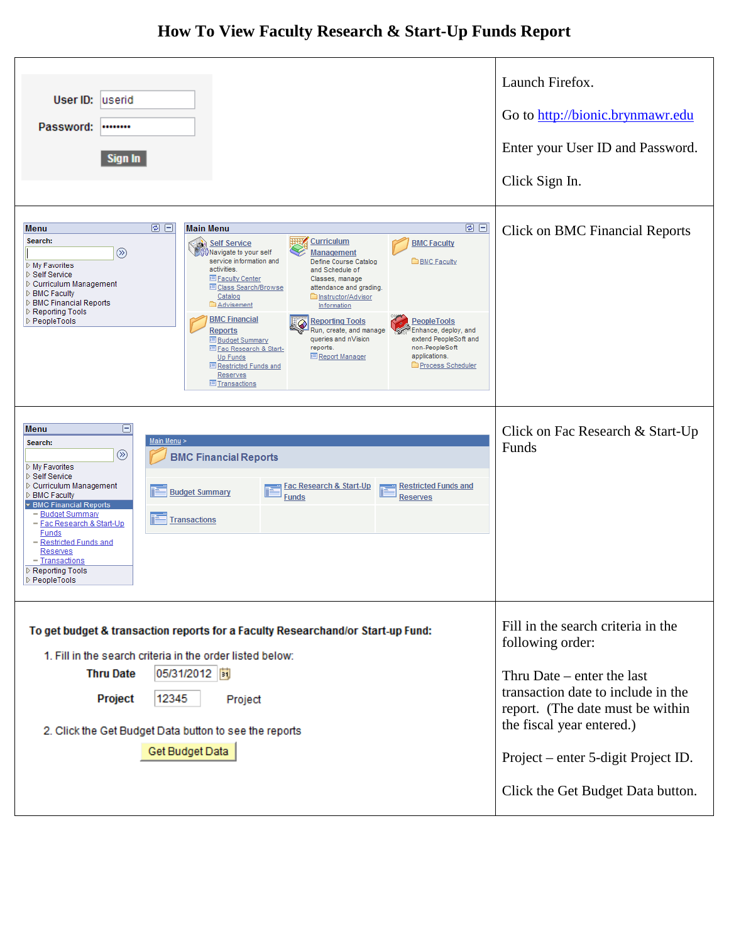## **How To View Faculty Research & Start-Up Funds Report**

| User ID: userid<br>Password:<br>********<br>Sign In                                                                                                                                                                                                                                                                                                                                                                                                                                                                                                                                                                                                                                                                                                                                                                                                                                                                                                                                                                                                                                                       | Launch Firefox.<br>Go to http://bionic.brynmawr.edu<br>Enter your User ID and Password.<br>Click Sign In.                                                                                                                                                                 |
|-----------------------------------------------------------------------------------------------------------------------------------------------------------------------------------------------------------------------------------------------------------------------------------------------------------------------------------------------------------------------------------------------------------------------------------------------------------------------------------------------------------------------------------------------------------------------------------------------------------------------------------------------------------------------------------------------------------------------------------------------------------------------------------------------------------------------------------------------------------------------------------------------------------------------------------------------------------------------------------------------------------------------------------------------------------------------------------------------------------|---------------------------------------------------------------------------------------------------------------------------------------------------------------------------------------------------------------------------------------------------------------------------|
| 回日<br>国日<br><b>Main Menu</b><br>Menu<br>Search:<br><b>Curriculum</b><br><b>BMC Faculty</b><br><b>Self Service</b><br>⊛<br>Navigate to your self<br><b>Management</b><br>service information and<br>Define Course Catalog<br><b>BMC Faculty</b><br>▷ My Favorites<br>activities.<br>and Schedule of<br>▷ Self Service<br><b>El Faculty Center</b><br>Classes, manage<br>▷ Curriculum Management<br><b>E Class Search/Browse</b><br>attendance and grading.<br><b>D</b> BMC Faculty<br>Catalog<br>Instructor/Advisor<br><b>D</b> BMC Financial Reports<br><b>Advisement</b><br><b>Information</b><br>Reporting Tools<br><b>BMC Financial</b><br>▷ PeopleTools<br><b>Reporting Tools</b><br><b>PeopleTools</b><br>Run, create, and manage<br>Enhance, deploy, and<br><b>Reports</b><br>extend PeopleSoft and<br>queries and nVision<br><b>E</b> Budget Summary<br>non-PeopleSoft<br>reports.<br><b>El Fac Research &amp; Start-</b><br>applications.<br><b>E</b> Report Manager<br><b>Up Funds</b><br><b>Process Scheduler</b><br><b>E</b> Restricted Funds and<br><b>Reserves</b><br><b>El Transactions</b> | <b>Click on BMC Financial Reports</b>                                                                                                                                                                                                                                     |
| Θ<br>Menu<br>Main Menu ><br>Search:<br>$\circledR$<br><b>BMC Financial Reports</b><br>▷ My Favorites<br>▷ Self Service<br>▷ Curriculum Management<br><b>Fac Research &amp; Start-Up</b><br><b>Restricted Funds and</b><br><b>Budget Summary</b><br>▷ BMC Faculty<br><b>Funds</b><br><b>Reserves</b><br>BMC Financial Reports<br>- Budget Summary<br><b>Transactions</b><br>- Fac Research & Start-Up<br><b>Funds</b><br>- Restricted Funds and<br><b>Reserves</b><br>- Transactions<br>▷ Reporting Tools<br>▷ PeopleTools                                                                                                                                                                                                                                                                                                                                                                                                                                                                                                                                                                                 | Click on Fac Research & Start-Up<br>Funds                                                                                                                                                                                                                                 |
| To get budget & transaction reports for a Faculty Researchand/or Start-up Fund:<br>1. Fill in the search criteria in the order listed below:<br>05/31/2012  司<br><b>Thru Date</b><br>Project<br>12345<br>Project<br>2. Click the Get Budget Data button to see the reports<br>Get Budget Data                                                                                                                                                                                                                                                                                                                                                                                                                                                                                                                                                                                                                                                                                                                                                                                                             | Fill in the search criteria in the<br>following order:<br>Thru Date $-$ enter the last<br>transaction date to include in the<br>report. (The date must be within<br>the fiscal year entered.)<br>Project – enter 5-digit Project ID.<br>Click the Get Budget Data button. |